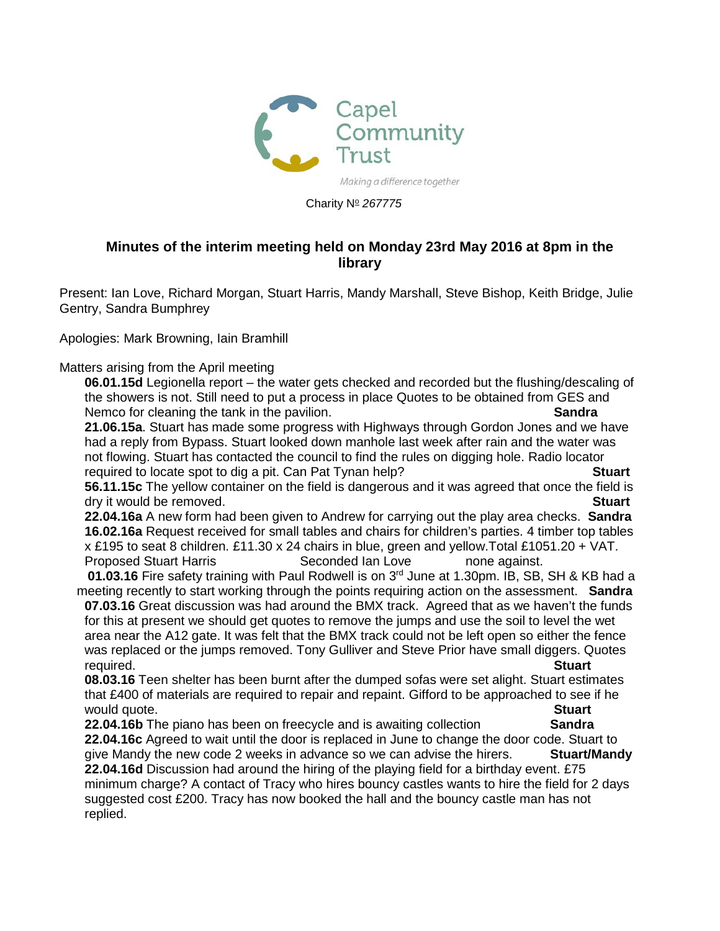

Charity N<sup>o</sup> 267775

## **Minutes of the interim meeting held on Monday 23rd May 2016 at 8pm in the library**

Present: Ian Love, Richard Morgan, Stuart Harris, Mandy Marshall, Steve Bishop, Keith Bridge, Julie Gentry, Sandra Bumphrey

## Apologies: Mark Browning, Iain Bramhill

Matters arising from the April meeting

**06.01.15d** Legionella report – the water gets checked and recorded but the flushing/descaling of the showers is not. Still need to put a process in place Quotes to be obtained from GES and Nemco for cleaning the tank in the pavilion. **Sandra**

**21.06.15a**. Stuart has made some progress with Highways through Gordon Jones and we have had a reply from Bypass. Stuart looked down manhole last week after rain and the water was not flowing. Stuart has contacted the council to find the rules on digging hole. Radio locator required to locate spot to dig a pit. Can Pat Tynan help? **Stuart**

**56.11.15c** The yellow container on the field is dangerous and it was agreed that once the field is dry it would be removed. **Stuart**

**22.04.16a** A new form had been given to Andrew for carrying out the play area checks. **Sandra 16.02.16a** Request received for small tables and chairs for children's parties. 4 timber top tables x £195 to seat 8 children. £11.30 x 24 chairs in blue, green and yellow.Total £1051.20 + VAT. Proposed Stuart Harris **Seconded Ian Love** none against.

**01.03.16** Fire safety training with Paul Rodwell is on 3<sup>rd</sup> June at 1.30pm. IB, SB, SH & KB had a meeting recently to start working through the points requiring action on the assessment. **Sandra 07.03.16** Great discussion was had around the BMX track. Agreed that as we haven't the funds

for this at present we should get quotes to remove the jumps and use the soil to level the wet area near the A12 gate. It was felt that the BMX track could not be left open so either the fence was replaced or the jumps removed. Tony Gulliver and Steve Prior have small diggers. Quotes required. **Stuart**

**08.03.16** Teen shelter has been burnt after the dumped sofas were set alight. Stuart estimates that £400 of materials are required to repair and repaint. Gifford to be approached to see if he would quote.<br>**22.04.16b** The piano has been on freecycle and is awaiting collection **Sandra** 

**22.04.16b** The piano has been on freecycle and is awaiting collection **22.04.16c** Agreed to wait until the door is replaced in June to change the door code. Stuart to give Mandy the new code 2 weeks in advance so we can advise the hirers. **Stuart/Mandy 22.04.16d** Discussion had around the hiring of the playing field for a birthday event. £75 minimum charge? A contact of Tracy who hires bouncy castles wants to hire the field for 2 days suggested cost £200. Tracy has now booked the hall and the bouncy castle man has not replied.